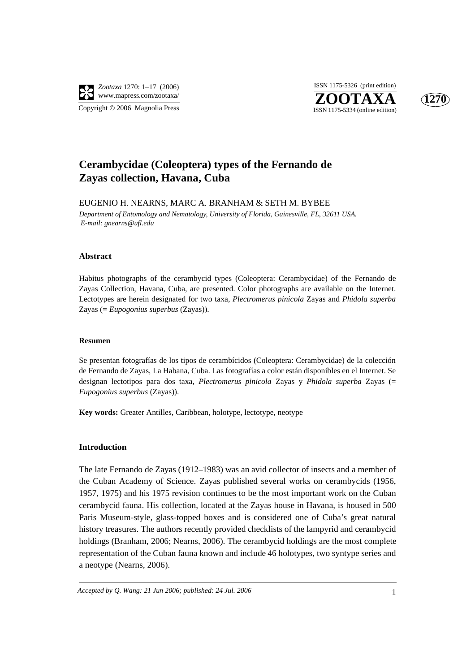

**ZOOTAXA**<br>ISSN 1175-5334 (online edition) ISSN 1175-5326 (print edition)



# **Cerambycidae (Coleoptera) types of the Fernando de Zayas collection, Havana, Cuba**

EUGENIO H. NEARNS, MARC A. BRANHAM & SETH M. BYBEE *Department of Entomology and Nematology, University of Florida, Gainesville, FL, 32611 USA. E-mail: gnearns@ufl.edu*

#### **Abstract**

Habitus photographs of the cerambycid types (Coleoptera: Cerambycidae) of the Fernando de Zayas Collection, Havana, Cuba, are presented. Color photographs are available on the Internet. Lectotypes are herein designated for two taxa, *Plectromerus pinicola* Zayas and *Phidola superba* Zayas (= *Eupogonius superbus* (Zayas)).

#### **Resumen**

Se presentan fotografías de los tipos de cerambícidos (Coleoptera: Cerambycidae) de la colección de Fernando de Zayas, La Habana, Cuba. Las fotografías a color están disponibles en el Internet. Se designan lectotipos para dos taxa, *Plectromerus pinicola* Zayas y *Phidola superba* Zayas (= *Eupogonius superbus* (Zayas)).

**Key words:** Greater Antilles, Caribbean, holotype, lectotype, neotype

#### **Introduction**

The late Fernando de Zayas (1912–1983) was an avid collector of insects and a member of the Cuban Academy of Science. Zayas published several works on cerambycids (1956, 1957, 1975) and his 1975 revision continues to be the most important work on the Cuban cerambycid fauna. His collection, located at the Zayas house in Havana, is housed in 500 Paris Museum-style, glass-topped boxes and is considered one of Cuba's great natural history treasures. The authors recently provided checklists of the lampyrid and cerambycid holdings (Branham, 2006; Nearns, 2006). The cerambycid holdings are the most complete representation of the Cuban fauna known and include 46 holotypes, two syntype series and a neotype (Nearns, 2006).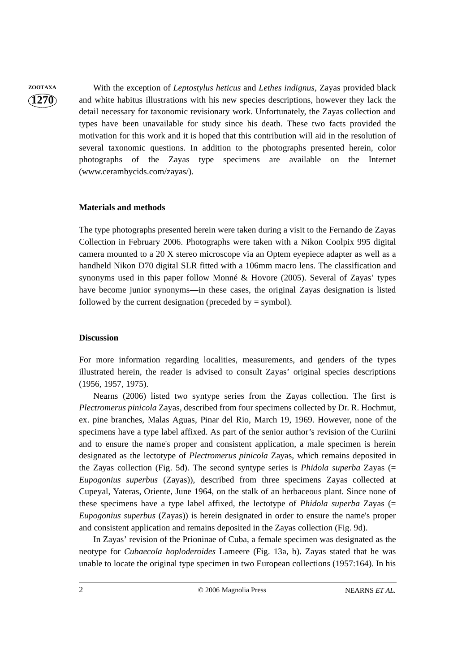**ZOOTAXA** With the exception of *Leptostylus heticus* and *Lethes indignus*, Zayas provided black and white habitus illustrations with his new species descriptions, however they lack the detail necessary for taxonomic revisionary work. Unfortunately, the Zayas collection and types have been unavailable for study since his death. These two facts provided the motivation for this work and it is hoped that this contribution will aid in the resolution of several taxonomic questions. In addition to the photographs presented herein, color photographs of the Zayas type specimens are available on the Internet (www.cerambycids.com/zayas/).

#### **Materials and methods**

The type photographs presented herein were taken during a visit to the Fernando de Zayas Collection in February 2006. Photographs were taken with a Nikon Coolpix 995 digital camera mounted to a 20 X stereo microscope via an Optem eyepiece adapter as well as a handheld Nikon D70 digital SLR fitted with a 106mm macro lens. The classification and synonyms used in this paper follow Monné & Hovore (2005). Several of Zayas' types have become junior synonyms—in these cases, the original Zayas designation is listed followed by the current designation (preceded by  $=$  symbol).

#### **Discussion**

For more information regarding localities, measurements, and genders of the types illustrated herein, the reader is advised to consult Zayas' original species descriptions (1956, 1957, 1975).

Nearns (2006) listed two syntype series from the Zayas collection. The first is *Plectromerus pinicola* Zayas, described from four specimens collected by Dr. R. Hochmut, ex. pine branches, Malas Aguas, Pinar del Rio, March 19, 1969. However, none of the specimens have a type label affixed. As part of the senior author's revision of the Curiini and to ensure the name's proper and consistent application, a male specimen is herein designated as the lectotype of *Plectromerus pinicola* Zayas, which remains deposited in the Zayas collection (Fig. 5d). The second syntype series is *Phidola superba* Zayas (= *Eupogonius superbus* (Zayas)), described from three specimens Zayas collected at Cupeyal, Yateras, Oriente, June 1964, on the stalk of an herbaceous plant. Since none of these specimens have a type label affixed, the lectotype of *Phidola superba* Zayas (= *Eupogonius superbus* (Zayas)) is herein designated in order to ensure the name's proper and consistent application and remains deposited in the Zayas collection (Fig. 9d).

In Zayas' revision of the Prioninae of Cuba, a female specimen was designated as the neotype for *Cubaecola hoploderoides* Lameere (Fig. 13a, b). Zayas stated that he was unable to locate the original type specimen in two European collections (1957:164). In his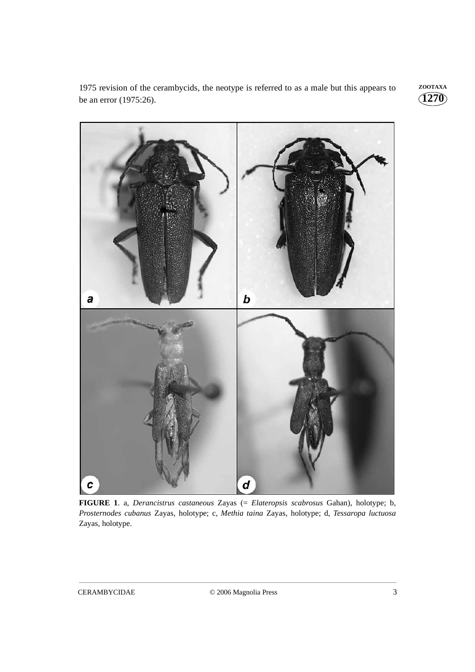1975 revision of the cerambycids, the neotype is referred to as a male but this appears to **ZOOTAXA** be an error (1975:26).





**FIGURE 1**. a, *Derancistrus castaneous* Zayas (= *Elateropsis scabrosus* Gahan), holotype; b, *Prosternodes cubanus* Zayas, holotype; c, *Methia taina* Zayas, holotype; d, *Tessaropa luctuosa* Zayas, holotype.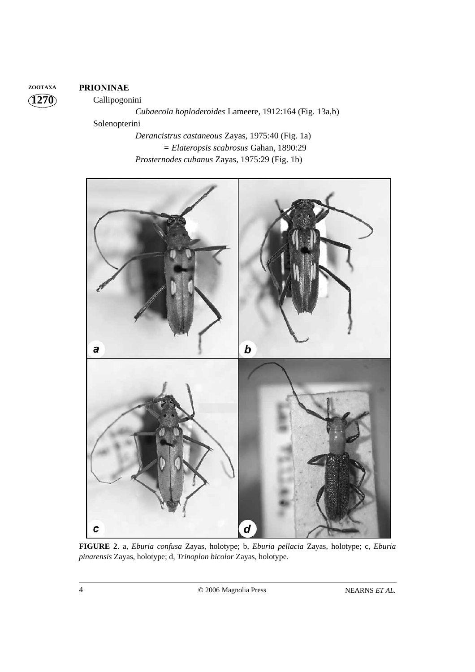# **ZOOTAXA PRIONINAE**

**1270**

Callipogonini

*Cubaecola hoploderoides* Lameere, 1912:164 (Fig. 13a,b) Solenopterini *Derancistrus castaneous* Zayas, 1975:40 (Fig. 1a) *= Elateropsis scabrosus* Gahan, 1890:29 *Prosternodes cubanus* Zayas, 1975:29 (Fig. 1b)



**FIGURE 2**. a, *Eburia confusa* Zayas, holotype; b, *Eburia pellacia* Zayas, holotype; c, *Eburia pinarensis* Zayas, holotype; d, *Trinoplon bicolor* Zayas, holotype.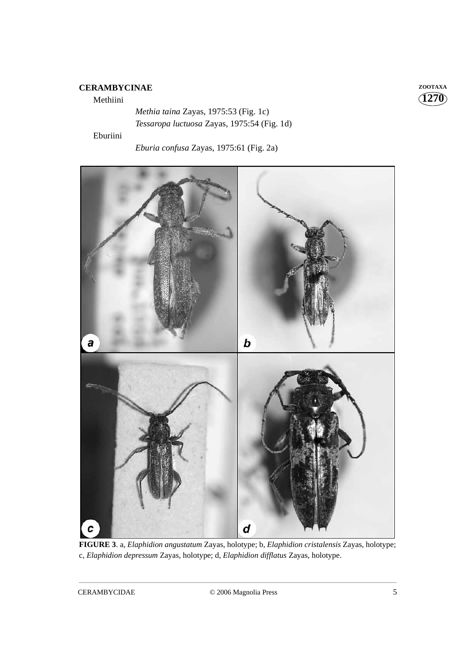# **CERAMBYCINAE ZOOTAXA**

#### Methiini

*Methia taina* Zayas, 1975:53 (Fig. 1c) *Tessaropa luctuosa* Zayas, 1975:54 (Fig. 1d)

Eburiini

*Eburia confusa* Zayas, 1975:61 (Fig. 2a)



**FIGURE 3**. a, *Elaphidion angustatum* Zayas, holotype; b, *Elaphidion cristalensis* Zayas, holotype; c, *Elaphidion depressum* Zayas, holotype; d, *Elaphidion difflatus* Zayas, holotype.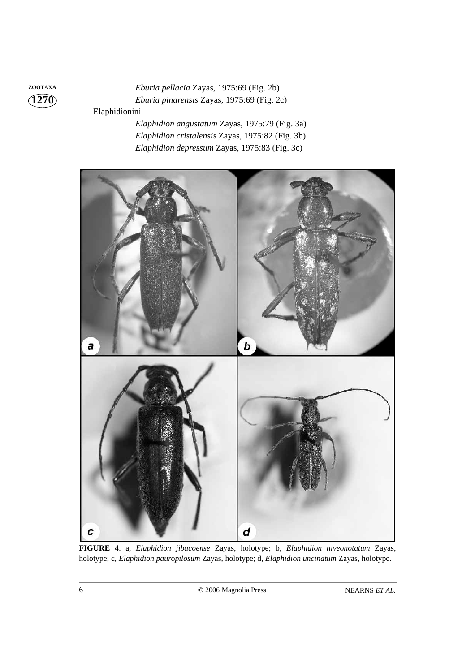**ZOOTAXA** *Eburia pellacia* Zayas, 1975:69 (Fig. 2b) *Eburia pinarensis* Zayas, 1975:69 (Fig. 2c) Elaphidionini

> *Elaphidion angustatum* Zayas, 1975:79 (Fig. 3a) *Elaphidion cristalensis* Zayas, 1975:82 (Fig. 3b) *Elaphidion depressum* Zayas, 1975:83 (Fig. 3c)



**FIGURE 4**. a, *Elaphidion jibacoense* Zayas, holotype; b, *Elaphidion niveonotatum* Zayas, holotype; c, *Elaphidion pauropilosum* Zayas, holotype; d, *Elaphidion uncinatum* Zayas, holotype.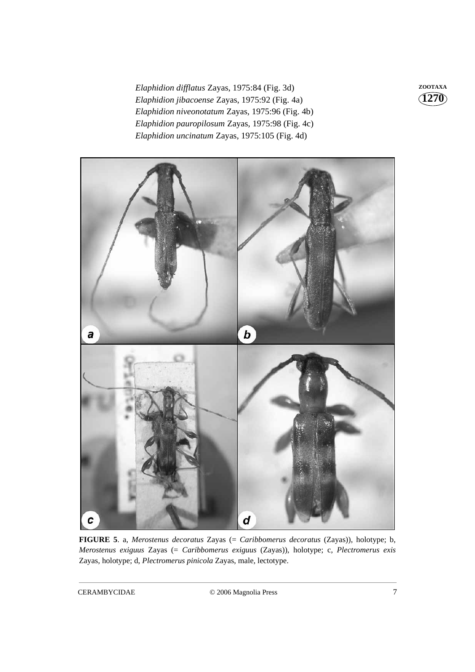*Elaphidion difflatus* Zayas, 1975:84 (Fig. 3d) **ZOOTAXA** *Elaphidion jibacoense* Zayas, 1975:92 (Fig. 4a) *Elaphidion niveonotatum* Zayas, 1975:96 (Fig. 4b) *Elaphidion pauropilosum* Zayas, 1975:98 (Fig. 4c) *Elaphidion uncinatum* Zayas, 1975:105 (Fig. 4d)



**FIGURE 5**. a, *Merostenus decoratus* Zayas (= *Caribbomerus decoratus* (Zayas)), holotype; b, *Merostenus exiguus* Zayas (= *Caribbomerus exiguus* (Zayas)), holotype; c, *Plectromerus exis* Zayas, holotype; d, *Plectromerus pinicola* Zayas, male, lectotype.

CERAMBYCIDAE © 2006 Magnolia Press 7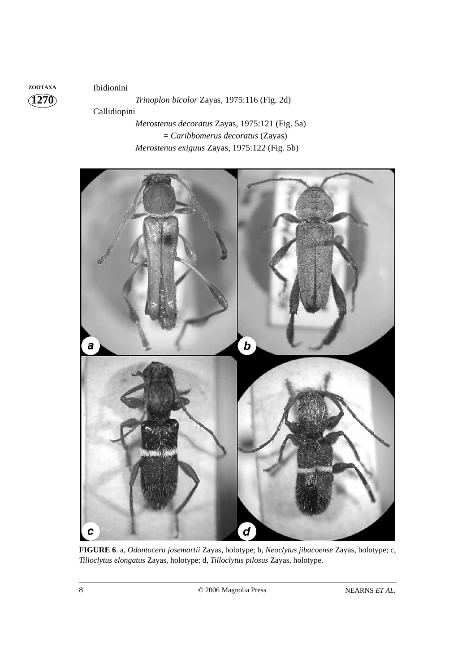**1270 ZOOTAXA** Ibidionini

*Trinoplon bicolor* Zayas, 1975:116 (Fig. 2d) Callidiopini *Merostenus decoratus* Zayas, 1975:121 (Fig. 5a) = *Caribbomerus decoratus* (Zayas)

*Merostenus exiguus* Zayas, 1975:122 (Fig. 5b)



**FIGURE 6**. a, *Odontocera josemartii* Zayas, holotype; b, *Neoclytus jibacoense* Zayas, holotype; c, *Tilloclytus elongatus* Zayas, holotype; d, *Tilloclytus pilosus* Zayas, holotype.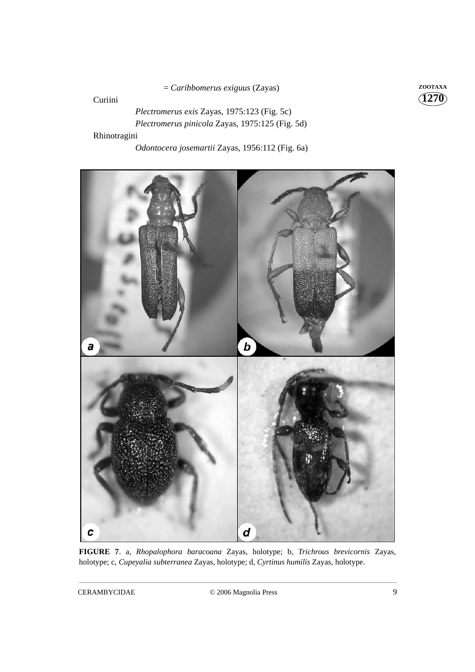= *Caribbomerus exiguus* (Zayas) **ZOOTAXA**

Curiini

**1270**

*Plectromerus exis* Zayas, 1975:123 (Fig. 5c) *Plectromerus pinicola* Zayas, 1975:125 (Fig. 5d) Rhinotragini

*Odontocera josemartii* Zayas, 1956:112 (Fig. 6a)



**FIGURE 7**. a, *Rhopalophora baracoana* Zayas, holotype; b, *Trichrous brevicornis* Zayas, holotype; c, *Cupeyalia subterranea* Zayas, holotype; d, *Cyrtinus humilis* Zayas, holotype.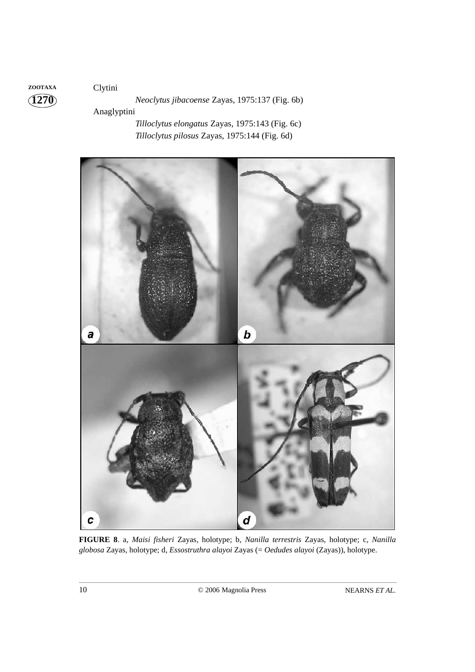# **1270 ZOOTAXA** Clytini

# *Neoclytus jibacoense* Zayas, 1975:137 (Fig. 6b)

Anaglyptini

*Tilloclytus elongatus* Zayas, 1975:143 (Fig. 6c) *Tilloclytus pilosus* Zayas, 1975:144 (Fig. 6d)



**FIGURE 8**. a, *Maisi fisheri* Zayas, holotype; b, *Nanilla terrestris* Zayas, holotype; c, *Nanilla globosa* Zayas, holotype; d, *Essostruthra alayoi* Zayas (= *Oedudes alayoi* (Zayas)), holotype.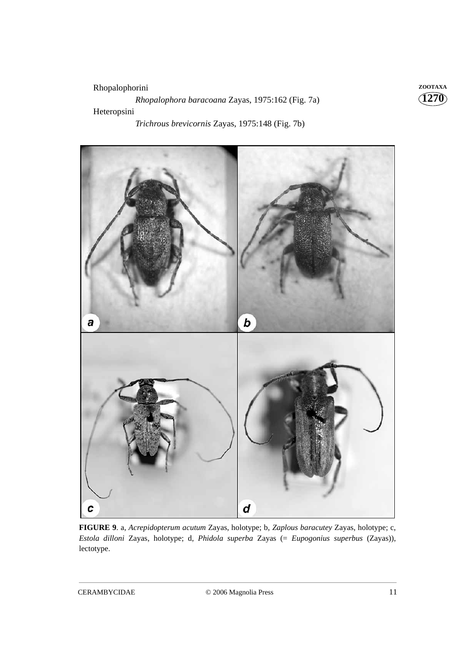# Rhopalophorini **ZOOTAXA** *Rhopalophora baracoana* Zayas, 1975:162 (Fig. 7a) Heteropsini

*Trichrous brevicornis* Zayas, 1975:148 (Fig. 7b)



**FIGURE 9**. a, *Acrepidopterum acutum* Zayas, holotype; b, *Zaplous baracutey* Zayas, holotype; c, *Estola dilloni* Zayas, holotype; d, *Phidola superba* Zayas (= *Eupogonius superbus* (Zayas)), lectotype.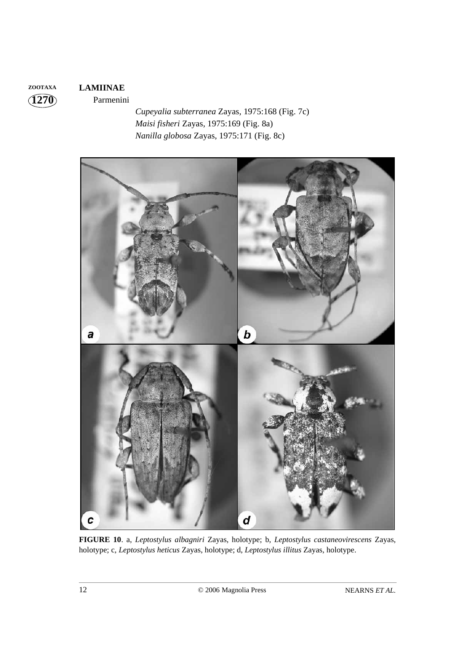# **ZOOTAXA LAMIINAE**

Parmenini

*Cupeyalia subterranea* Zayas, 1975:168 (Fig. 7c) *Maisi fisheri* Zayas, 1975:169 (Fig. 8a) *Nanilla globosa* Zayas, 1975:171 (Fig. 8c)



**FIGURE 10**. a, *Leptostylus albagniri* Zayas, holotype; b, *Leptostylus castaneovirescens* Zayas, holotype; c, *Leptostylus heticus* Zayas, holotype; d, *Leptostylus illitus* Zayas, holotype.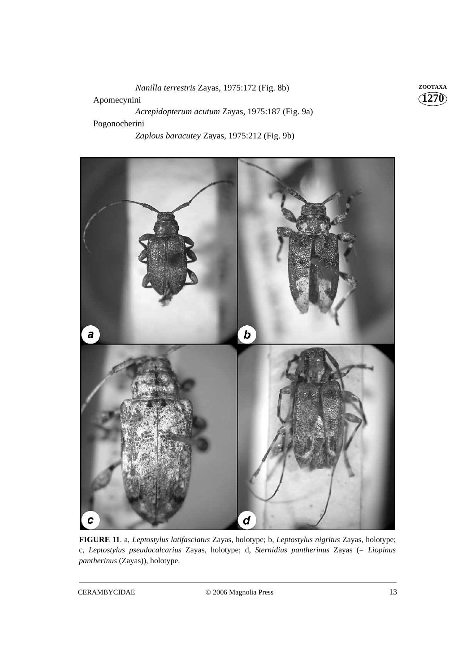*Nanilla terrestris* Zayas, 1975:172 (Fig. 8b) **ZOOTAXA** Apomecynini *Acrepidopterum acutum* Zayas, 1975:187 (Fig. 9a) Pogonocherini *Zaplous baracutey* Zayas, 1975:212 (Fig. 9b)



**FIGURE 11**. a, *Leptostylus latifasciatus* Zayas, holotype; b, *Leptostylus nigritus* Zayas, holotype; c, *Leptostylus pseudocalcarius* Zayas, holotype; d, *Sternidius pantherinus* Zayas (= *Liopinus pantherinus* (Zayas)), holotype.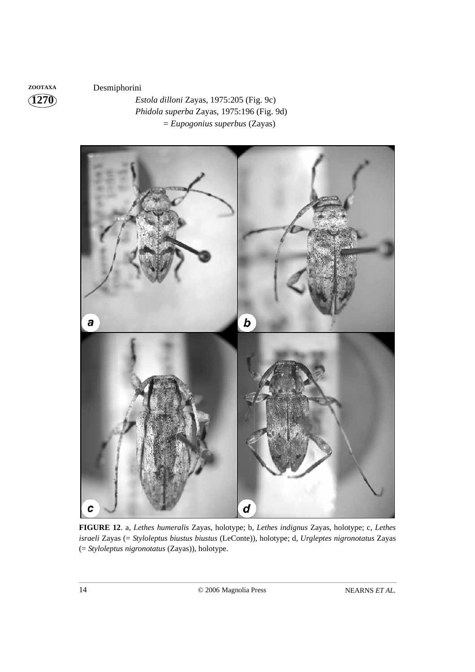**ZOOTAXA** Desmiphorini

*Estola dilloni* Zayas, 1975:205 (Fig. 9c) *Phidola superba* Zayas, 1975:196 (Fig. 9d) = *Eupogonius superbus* (Zayas)



**FIGURE 12**. a, *Lethes humeralis* Zayas, holotype; b, *Lethes indignus* Zayas, holotype; c, *Lethes israeli* Zayas (= *Styloleptus biustus biustus* (LeConte)), holotype; d, *Urgleptes nigronotatus* Zayas (= *Styloleptus nigronotatus* (Zayas)), holotype.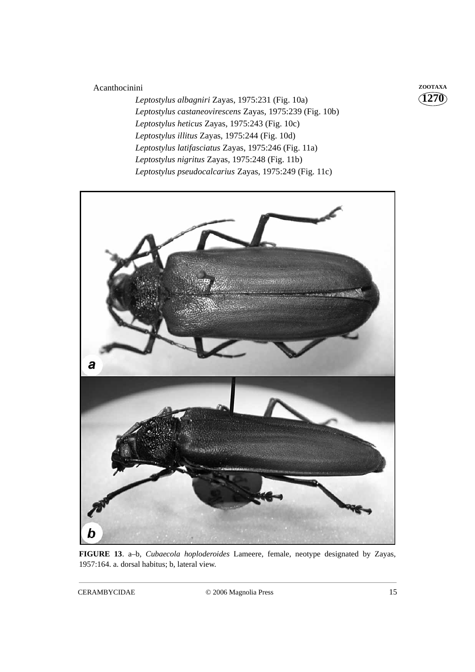# Acanthocinini **ZOOTAXA**

*Leptostylus albagniri* Zayas, 1975:231 (Fig. 10a) *Leptostylus castaneovirescens* Zayas, 1975:239 (Fig. 10b) *Leptostylus heticus* Zayas, 1975:243 (Fig. 10c) *Leptostylus illitus* Zayas, 1975:244 (Fig. 10d) *Leptostylus latifasciatus* Zayas, 1975:246 (Fig. 11a) *Leptostylus nigritus* Zayas, 1975:248 (Fig. 11b) *Leptostylus pseudocalcarius* Zayas, 1975:249 (Fig. 11c)



**FIGURE 13**. a–b, *Cubaecola hoploderoides* Lameere, female, neotype designated by Zayas, 1957:164. a. dorsal habitus; b, lateral view.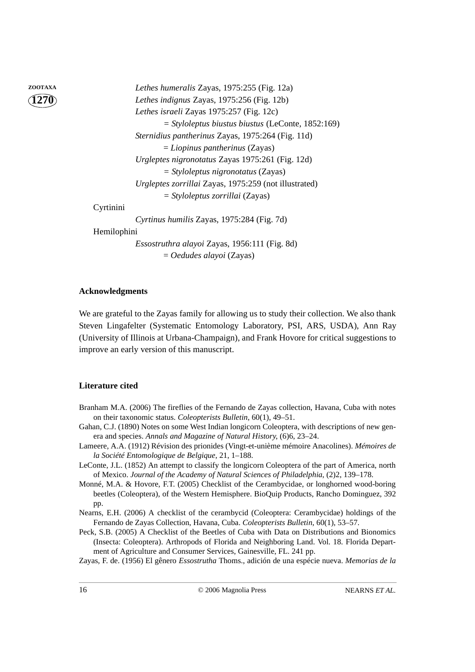| ZOOTAXA |             | Lethes humeralis Zayas, 1975:255 (Fig. 12a)           |
|---------|-------------|-------------------------------------------------------|
|         |             | Lethes indignus Zayas, 1975:256 (Fig. 12b)            |
|         |             | Lethes israeli Zayas 1975:257 (Fig. 12c)              |
|         |             | $=$ Styloleptus biustus biustus (LeConte, 1852:169)   |
|         |             | Sternidius pantherinus Zayas, 1975:264 (Fig. 11d)     |
|         |             | $=$ Liopinus pantherinus (Zayas)                      |
|         |             | Urgleptes nigronotatus Zayas 1975:261 (Fig. 12d)      |
|         |             | $=$ Styloleptus nigronotatus (Zayas)                  |
|         |             | Urgleptes zorrillai Zayas, 1975:259 (not illustrated) |
|         |             | $=$ Styloleptus zorrillai (Zayas)                     |
|         | Cyrtinini   |                                                       |
|         |             | Cyrtinus humilis Zayas, 1975:284 (Fig. 7d)            |
|         | Hemilophini |                                                       |
|         |             | <i>Essostruthra alayoi</i> Zayas, 1956:111 (Fig. 8d)  |
|         |             | $= O$ edudes alayoi (Zayas)                           |
|         |             |                                                       |

### **Acknowledgments**

We are grateful to the Zayas family for allowing us to study their collection. We also thank Steven Lingafelter (Systematic Entomology Laboratory, PSI, ARS, USDA), Ann Ray (University of Illinois at Urbana-Champaign), and Frank Hovore for critical suggestions to improve an early version of this manuscript.

### **Literature cited**

- Branham M.A. (2006) The fireflies of the Fernando de Zayas collection, Havana, Cuba with notes on their taxonomic status. *Coleopterists Bulletin*, 60(1), 49–51.
- Gahan, C.J. (1890) Notes on some West Indian longicorn Coleoptera, with descriptions of new genera and species. *Annals and Magazine of Natural History*, (6)6, 23–24.
- Lameere, A.A. (1912) Révision des prionides (Vingt-et-unième mémoire Anacolines). *Mémoires de la Société Entomologique de Belgique*, 21, 1–188.
- LeConte, J.L. (1852) An attempt to classify the longicorn Coleoptera of the part of America, north of Mexico. *Journal of the Academy of Natural Sciences of Philadelphia*, (2)2, 139–178.
- Monné, M.A. & Hovore, F.T. (2005) Checklist of the Cerambycidae, or longhorned wood-boring beetles (Coleoptera), of the Western Hemisphere. BioQuip Products, Rancho Dominguez, 392 pp.
- Nearns, E.H. (2006) A checklist of the cerambycid (Coleoptera: Cerambycidae) holdings of the Fernando de Zayas Collection, Havana, Cuba. *Coleopterists Bulletin*, 60(1), 53–57.
- Peck, S.B. (2005) A Checklist of the Beetles of Cuba with Data on Distributions and Bionomics (Insecta: Coleoptera). Arthropods of Florida and Neighboring Land. Vol. 18. Florida Department of Agriculture and Consumer Services, Gainesville, FL. 241 pp.
- Zayas, F. de. (1956) El gênero *Essostrutha* Thoms., adición de una espécie nueva. *Memorias de la*